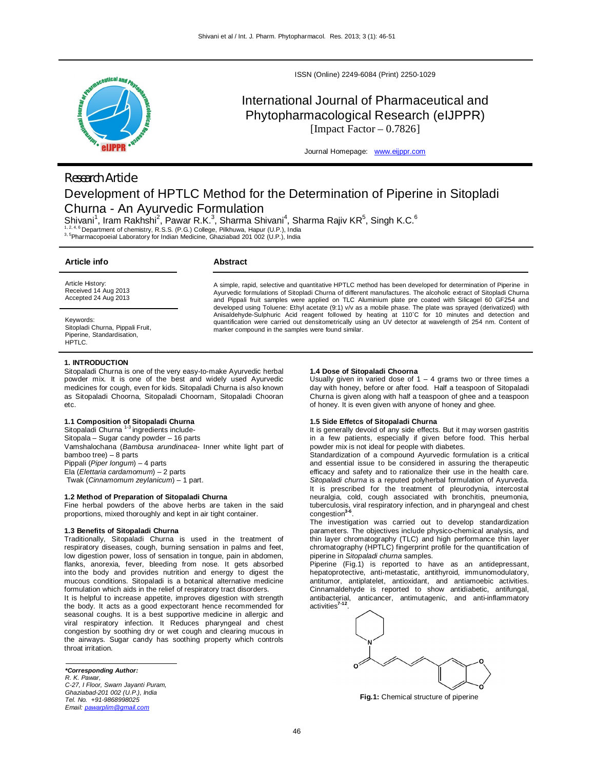

*Research Article*

ISSN (Online) 2249-6084 (Print) 2250-1029

# International Journal of Pharmaceutical and Phytopharmacological Research (eIJPPR) [Impact Factor  $-0.7826$ ]

Journal Homepage: www.eijppr.com

# Development of HPTLC Method for the Determination of Piperine in Sitopladi Churna - An Ayurvedic Formulation

Shivani<sup>1</sup>, Iram Rakhshi<sup>2</sup>, Pawar R.K.<sup>3</sup>, Sharma Shivani<sup>4</sup>, Sharma Rajiv KR<sup>5</sup>, Singh K.C.<sup>6</sup> <sup>1, 2, 4, 6</sup> Department of chemistry, R.S.S. (P.G.) College, Pilkhuwa, Hapur (U.P.), India<br><sup>3, 5</sup>Pharmacopoeial Laboratory for Indian Medicine, Ghaziabad 201 002 (U.P.), India

| Article info                                                                          | Abstract                                                                                                                                                                                                                                                                                                                                                                                                                                                |  |  |  |
|---------------------------------------------------------------------------------------|---------------------------------------------------------------------------------------------------------------------------------------------------------------------------------------------------------------------------------------------------------------------------------------------------------------------------------------------------------------------------------------------------------------------------------------------------------|--|--|--|
| Article History:<br>Received 14 Aug 2013<br>Accepted 24 Aug 2013                      | A simple, rapid, selective and quantitative HPTLC method has been developed for determination of Piperine in<br>Ayurvedic formulations of Sitopladi Churna of different manufactures. The alcoholic extract of Sitopladi Churna<br>and Pippali fruit samples were applied on TLC Aluminium plate pre coated with Silicagel 60 GF254 and<br>developed using Toluene: Ethyl acetate (9:1) v/v as a mobile phase. The plate was sprayed (derivatized) with |  |  |  |
| Keywords:<br>Sitopladi Churna, Pippali Fruit,<br>Piperine, Standardisation,<br>HPTLC. | Anisaldehyde-Sulphuric Acid reagent followed by heating at 110°C for 10 minutes and detection and<br>quantification were carried out densitometrically using an UV detector at wavelength of 254 nm. Content of<br>marker compound in the samples were found similar.                                                                                                                                                                                   |  |  |  |

#### **1. INTRODUCTION**

Sitopaladi Churna is one of the very easy-to-make Ayurvedic herbal powder mix. It is one of the best and widely used Ayurvedic medicines for cough, even for kids. Sitopaladi Churna is also known as Sitopaladi Choorna, Sitopaladi Choornam, Sitopaladi Chooran etc.

**1.1 Composition of Sitopaladi Churna**<br>Sitopaladi Churna <sup>1-3</sup> ingredients include-Sitopala – Sugar candy powder – 16 parts Vamshalochana (*Bambusa arundinacea*- Inner white light part of bamboo tree) – 8 parts Pippali (*Piper longum*) – 4 parts Ela (*Elettaria cardamomum*) – 2 parts Twak (*Cinnamomum zeylanicum*) – 1 part.

#### **1.2 Method of Preparation of Sitopaladi Churna**

Fine herbal powders of the above herbs are taken in the said proportions, mixed thoroughly and kept in air tight container.

#### **1.3 Benefits of Sitopaladi Churna**

Traditionally, Sitopaladi Churna is used in the treatment of respiratory diseases, cough, burning sensation in palms and feet, low digestion power, loss of sensation in tongue, pain in abdomen, flanks, anorexia, fever, bleeding from nose. It gets absorbed into the body and provides nutrition and energy to digest the mucous conditions. Sitopaladi is a botanical alternative medicine formulation which aids in the relief of respiratory tract disorders.

It is helpful to increase appetite, improves digestion with strength the body. It acts as a good expectorant hence recommended for seasonal coughs. It is a best supportive medicine in allergic and viral respiratory infection. It Reduces pharyngeal and chest congestion by soothing dry or wet cough and clearing mucous in the airways. Sugar candy has soothing property which controls throat irritation.

#### *\*Corresponding Author: R. K. Pawar, C-27, I Floor, Swarn Jayanti Puram, Ghaziabad-201 002 (U.P.), India Tel. No. +91-9868998025*

*Email: pawarplim@gmail.com*

#### **1.4 Dose of Sitopaladi Choorna**

Usually given in varied dose of  $1 - 4$  grams two or three times a day with honey, before or after food. Half a teaspoon of Sitopaladi Churna is given along with half a teaspoon of ghee and a teaspoon of honey. It is even given with anyone of honey and ghee.

# **1.5 Side Effetcs of Sitopaladi Churna**

It is generally devoid of any side effects. But it may worsen gastritis in a few patients, especially if given before food. This herbal powder mix is not ideal for people with diabetes.

Standardization of a compound Ayurvedic formulation is a critical and essential issue to be considered in assuring the therapeutic efficacy and safety and to rationalize their use in the health care. *Sitopaladi churna* is a reputed polyherbal formulation of Ayurveda. It is prescribed for the treatment of pleurodynia, intercostal neuralgia, cold, cough associated with bronchitis, pneumonia, tuberculosis, viral respiratory infection, and in pharyngeal and chest congestion**3-6** .

The investigation was carried out to develop standardization parameters. The objectives include physico-chemical analysis, and thin layer chromatography (TLC) and high performance thin layer chromatography (HPTLC) fingerprint profile for the quantification of piperine in *Sitopaladi churna* samples.

Piperine (Fig.1) is reported to have as an antidepressant, hepatoprotective, anti-metastatic, antithyroid, immunomodulatory, antitumor, antiplatelet, antioxidant, and antiamoebic activities. Cinnamaldehyde is reported to show antidiabetic, antifungal, antibacterial, anticancer, antimutagenic, and anti-inflammatory activities<sup>4</sup> .



**Fig.1:** Chemical structure of piperine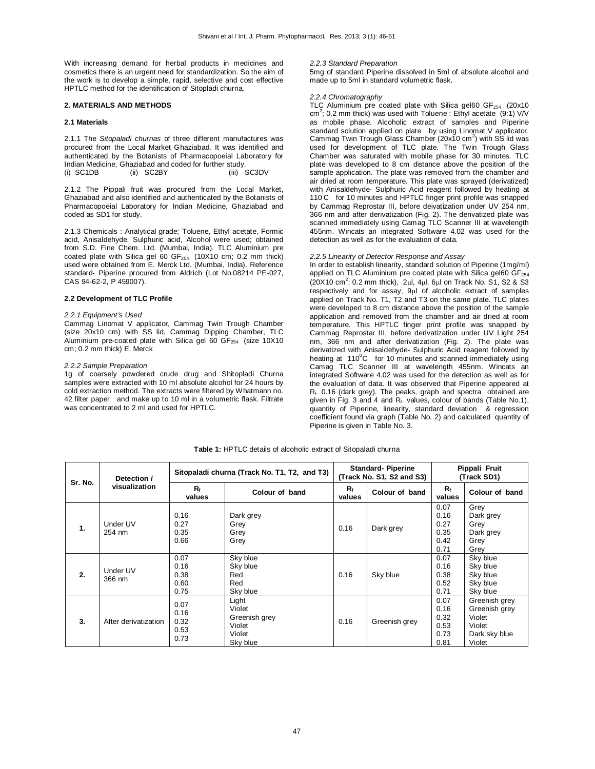With increasing demand for herbal products in medicines and cosmetics there is an urgent need for standardization. So the aim of the work is to develop a simple, rapid, selective and cost effective HPTLC method for the identification of Sitopladi churna.

### **2. MATERIALS AND METHODS**

# **2.1 Materials**

2.1.1 The *Sitopaladi churnas* of three different manufactures was procured from the Local Market Ghaziabad. It was identified and authenticated by the Botanists of Pharmacopoeial Laboratory for Indian Medicine, Ghaziabad and coded for further study.<br>(i) SC1DB (ii) SC2BY (iii) SC3DV  $(ii)$  SC2BY

2.1.2 The Pippali fruit was procured from the Local Market, Ghaziabad and also identified and authenticated by the Botanists of Pharmacopoeial Laboratory for Indian Medicine, Ghaziabad and coded as SD1 for study.

2.1.3 Chemicals : Analytical grade; Toluene, Ethyl acetate, Formic acid, Anisaldehyde, Sulphuric acid, Alcohol were used; obtained from S.D. Fine Chem. Ltd. (Mumbai, India). TLC Aluminium pre coated plate with Silica gel 60  $GF<sub>254</sub>$  (10X10 cm; 0.2 mm thick) used were obtained from E. Merck Ltd. (Mumbai, India). Reference standard- Piperine procured from Aldrich (Lot No.08214 PE-027, CAS 94-62-2, P 459007).

#### **2.2 Development of TLC Profile**

### *2.2.1 Equipment's Used*

Cammag Linomat V applicator, Cammag Twin Trough Chamber (size 20x10 cm) with SS lid, Cammag Dipping Chamber, TLC Aluminium pre-coated plate with Silica gel 60  $GF<sub>254</sub>$  (size 10X10 cm; 0.2 mm thick) E. Merck

#### *2.2.2 Sample Preparation*

1g of coarsely powdered crude drug and Shitopladi Churna samples were extracted with 10 ml absolute alcohol for 24 hours by cold extraction method. The extracts were filtered by Whatmann no. 42 filter paper and make up to 10 ml in a volumetric flask. Filtrate was concentrated to 2 ml and used for HPTLC.

# *2.2.3 Standard Preparation*

5mg of standard Piperine dissolved in 5ml of absolute alcohol and made up to 5ml in standard volumetric flask.

## *2.2.4 Chromatography*

TLC Aluminium pre coated plate with Silica gel60  $GF<sub>254</sub>$  (20x10  $\text{cm}^2$ ; 0.2 mm thick) was used with Toluene : Ethyl acetate (9:1) V/V as mobile phase. Alcoholic extract of samples and Piperine standard solution applied on plate by using Linomat V applicator. Cammag Twin Trough Glass Chamber (20x10  $\text{cm}^2$ ) with SS lid was used for development of TLC plate. The Twin Trough Glass Chamber was saturated with mobile phase for 30 minutes. TLC plate was developed to 8 cm distance above the position of the sample application. The plate was removed from the chamber and air dried at room temperature. This plate was sprayed (derivatized) with Anisaldehyde- Sulphuric Acid reagent followed by heating at 110°C for 10 minutes and HPTLC finger print profile was snapped by Cammag Reprostar III, before deivatization under UV 254 nm, 366 nm and after derivatization (Fig. 2). The derivatized plate was scanned immediately using Camag TLC Scanner III at wavelength 455nm. Wincats an integrated Software 4.02 was used for the detection as well as for the evaluation of data.

#### *2.2.5 Linearity of Detector Response and Assay*

In order to establish linearity, standard solution of Piperine (1mg/ml) applied on TLC Aluminium pre coated plate with Silica gel60  $GF<sub>254</sub>$  $(20X10 \text{ cm}^2; 0.2 \text{ mm} \text{ thick}), 2 \mu l, 4 \mu l, 6 \mu l$  on Track No. S1, S2 & S3 respectively and for assay, 9ul of alcoholic extract of samples applied on Track No. T1, T2 and T3 on the same plate. TLC plates were developed to 8 cm distance above the position of the sample application and removed from the chamber and air dried at room temperature. This HPTLC finger print profile was snapped by Cammag Reprostar III, before derivatization under UV Light 254 nm, 366 nm and after derivatization (Fig. 2). The plate was derivatized with Anisaldehyde- Sulphuric Acid reagent followed by heating at  $110^{\circ}$ C for 10 minutes and scanned immediately using Camag TLC Scanner III at wavelength 455nm. Wincats an integrated Software 4.02 was used for the detection as well as for the evaluation of data. It was observed that Piperine appeared at Rf. 0.16 (dark grey). The peaks, graph and spectra obtained are given in Fig. 3 and 4 and  $R_f$ . values, colour of bands (Table No.1), quantity of Piperine, linearity, standard deviation & regression coefficient found via graph (Table No. 2) and calculated quantity of Piperine is given in Table No. 3.

| Sr. No.      | Detection /<br>visualization | Sitopaladi churna (Track No. T1, T2, and T3) |                                                                  | <b>Standard-Piperine</b><br>(Track No. S1, S2 and S3) |                | Pippali Fruit<br>(Track SD1)                 |                                                                               |
|--------------|------------------------------|----------------------------------------------|------------------------------------------------------------------|-------------------------------------------------------|----------------|----------------------------------------------|-------------------------------------------------------------------------------|
|              |                              | $R_{f}$<br>values                            | Colour of band                                                   | $R_{f}$<br>values                                     | Colour of band | $R_{f}$<br>values                            | Colour of band                                                                |
| $\mathbf{1}$ | Under UV<br>254 nm           | 0.16<br>0.27<br>0.35<br>0.66                 | Dark grey<br>Grey<br>Grey<br>Grey                                | 0.16                                                  | Dark grey      | 0.07<br>0.16<br>0.27<br>0.35<br>0.42<br>0.71 | Grey<br>Dark grey<br>Grey<br>Dark grey<br>Grey<br>Grey                        |
| 2.           | Under UV<br>366 nm           | 0.07<br>0.16<br>0.38<br>0.60<br>0.75         | Sky blue<br>Sky blue<br>Red<br>Red<br>Sky blue                   | 0.16                                                  | Sky blue       | 0.07<br>0.16<br>0.38<br>0.52<br>0.71         | Sky blue<br>Sky blue<br>Sky blue<br>Sky blue<br>Sky blue                      |
| 3.           | After derivatization         | 0.07<br>0.16<br>0.32<br>0.53<br>0.73         | Light<br>Violet<br>Greenish grey<br>Violet<br>Violet<br>Sky blue | 0.16                                                  | Greenish grey  | 0.07<br>0.16<br>0.32<br>0.53<br>0.73<br>0.81 | Greenish grey<br>Greenish grey<br>Violet<br>Violet<br>Dark sky blue<br>Violet |

**Table 1:** HPTLC details of alcoholic extract of Sitopaladi churna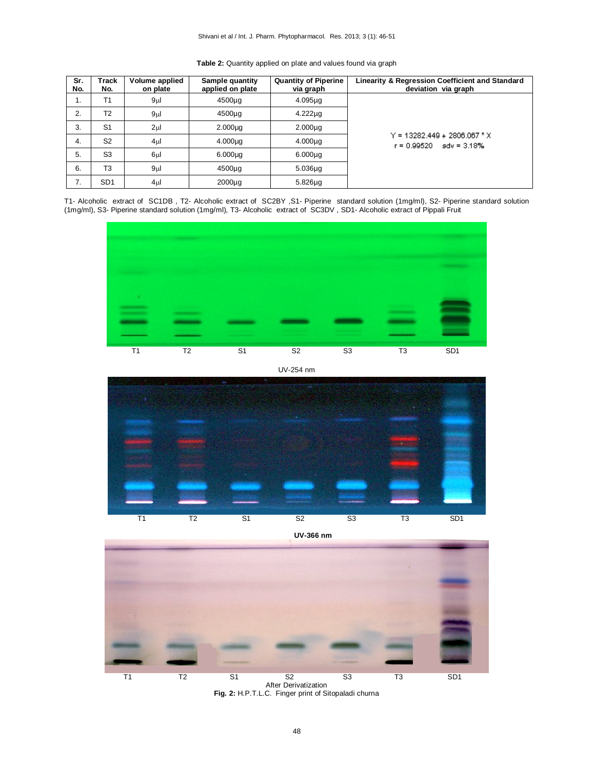| Table 2: Quantity applied on plate and values found via graph |  |  |  |  |  |  |
|---------------------------------------------------------------|--|--|--|--|--|--|
|---------------------------------------------------------------|--|--|--|--|--|--|

| Sr.<br>No. | Track<br>No.    | <b>Quantity of Piperine</b><br>Volume applied<br>Sample quantity<br>applied on plate<br>via graph<br>on plate | Linearity & Regression Coefficient and Standard<br>deviation via graph |              |                                                                |
|------------|-----------------|---------------------------------------------------------------------------------------------------------------|------------------------------------------------------------------------|--------------|----------------------------------------------------------------|
| ι.         | Τ1              | 9 <sub>µ</sub>                                                                                                | 4500µg                                                                 | 4.095µg      |                                                                |
| 2.         | T <sub>2</sub>  | 9 <sub>µ</sub>                                                                                                | 4500µg                                                                 | $4.222\mu$ g |                                                                |
| 3.         | S <sub>1</sub>  | $2\mu$                                                                                                        | 2.000 <sub>µq</sub>                                                    | $2.000\mug$  |                                                                |
| 4.         | S <sub>2</sub>  | $4\mu$                                                                                                        | 4.000 <sub>µq</sub>                                                    | $4.000\mu$ g | $Y = 13282.449 + 2806.067$ * X<br>r = 0.99520<br>$sdv = 3.18%$ |
| 5.         | S <sub>3</sub>  | 6µl                                                                                                           | 6.000 <sub>µq</sub>                                                    | $6.000\mug$  |                                                                |
| 6.         | T <sub>3</sub>  | 9 <sub>µ</sub>                                                                                                | 4500µg                                                                 | $5.036\mug$  |                                                                |
| 7.         | SD <sub>1</sub> | 4 <sub>µ</sub>                                                                                                | 2000 <sub>uq</sub>                                                     | $5.826\mug$  |                                                                |

T1- Alcoholic extract of SC1DB , T2- Alcoholic extract of SC2BY ,S1- Piperine standard solution (1mg/ml), S2- Piperine standard solution (1mg/ml), S3- Piperine standard solution (1mg/ml), T3- Alcoholic extract of SC3DV , SD1- Alcoholic extract of Pippali Fruit





**UV-366 nm**



After Derivatization **Fig. 2:** H.P.T.L.C. Finger print of Sitopaladi churna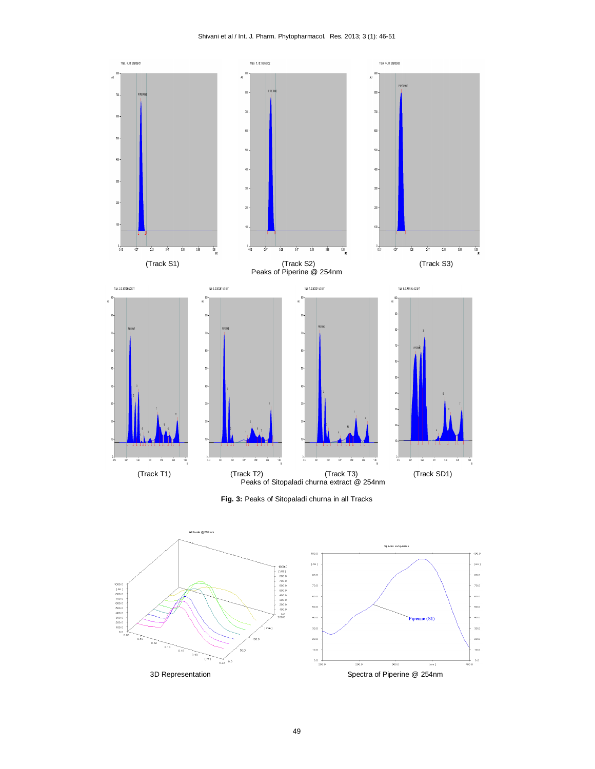Shivani et al / Int. J. Pharm. Phytopharmacol. Res. 2013; 3 (1): 46-51





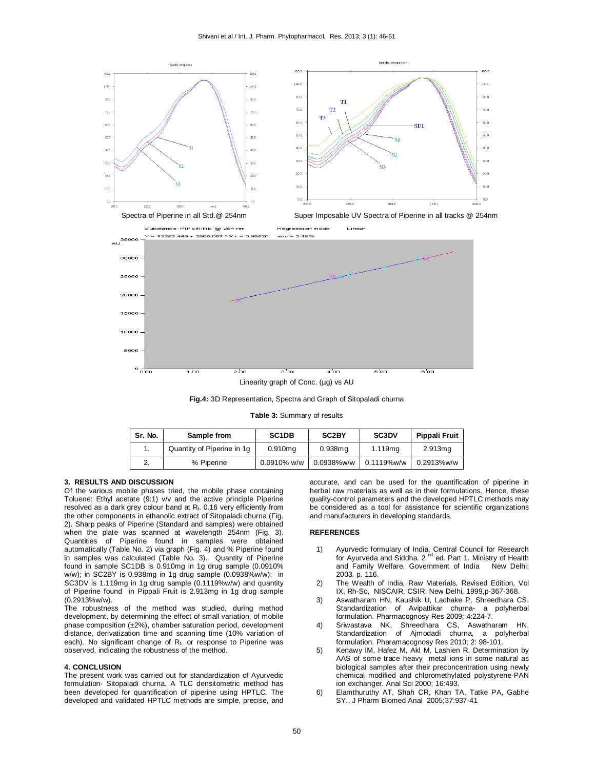



**Fig.4:** 3D Representation, Spectra and Graph of Sitopaladi churna

**Table 3:** Summary of results

| Sr. No. | Sample from                | SC <sub>1</sub> DB | SC <sub>2</sub> BY  | SC <sub>3</sub> DV | <b>Pippali Fruit</b> |
|---------|----------------------------|--------------------|---------------------|--------------------|----------------------|
|         | Quantity of Piperine in 1g | 0.910mg            | 0.938 <sub>mq</sub> | 1.119mg            | 2.913mg              |
|         | % Piperine                 | $0.0910\%$ w/w     | $0.0938%$ w/w       | 0.1119%w/w         | 0.2913%w/w           |

## **3. RESULTS AND DISCUSSION**

Of the various mobile phases tried, the mobile phase containing Toluene: Ethyl acetate (9:1) v/v and the active principle Piperine resolved as a dark grey colour band at  $R_f$ . 0.16 very efficiently from the other components in ethanolic extract of Sitopaladi churna (Fig. 2). Sharp peaks of Piperine (Standard and samples) were obtained when the plate was scanned at wavelength 254nm (Fig. 3). Quantities of Piperine found in samples were obtained automatically (Table No. 2) via graph (Fig. 4) and % Piperine found in samples was calculated (Table No. 3). Quantity of Piperine found in sample SC1DB is 0.910mg in 1g drug sample (0.0910% w/w); in SC2BY is 0.938mg in 1g drug sample (0.0938%w/w); in SC3DV is 1.119mg in 1g drug sample (0.1119%w/w) and quantity of Piperine found in Pippali Fruit is 2.913mg in 1g drug sample (0.2913%w/w).

The robustness of the method was studied, during method development, by determining the effect of small variation, of mobile phase composition (±2%), chamber saturation period, development distance, derivatization time and scanning time (10% variation of each). No significant change of  $R_f$ . or response to Piperine was observed, indicating the robustness of the method.

#### **4. CONCLUSION**

The present work was carried out for standardization of Ayurvedic formulation- Sitopaladi churna. A TLC densitometric method has been developed for quantification of piperine using HPTLC. The developed and validated HPTLC methods are simple, precise, and accurate, and can be used for the quantification of piperine in herbal raw materials as well as in their formulations. Hence, these quality-control parameters and the developed HPTLC methods may be considered as a tool for assistance for scientific organizations and manufacturers in developing standards.

#### **REFERENCES**

- 1) Ayurvedic formulary of India, Central Council for Research<br>for Ayurveda and Siddha. 2<sup>nd</sup> ed. Part 1. Ministry of Health and Family Welfare, Government of India New Delhi; 2003. p. 116.
- 2) The Wealth of India, Raw Materials, Revised Edition, Vol IX, Rh-So, NISCAIR, CSIR, New Delhi, 1999,p-367-368.
- 3) Aswatharam HN, Kaushik U, Lachake P, Shreedhara CS. Standardization of Avipattikar churna- a polyherbal formulation. Pharmacognosy Res 2009; 4:224-7.
- 4) Sriwastava NK, Shreedhara CS, Aswatharam HN. Standardization of Ajmodadi churna, a polyherbal formulation. Pharamacognosy Res 2010; 2: 98-101.
- 5) Kenawy IM, Hafez M, Akl M, Lashien R. Determination by AAS of some trace heavy metal ions in some natural as biological samples after their preconcentration using newly chemical modified and chloromethylated polystyrene-PAN ion exchanger. Anal Sci 2000; 16:493.
- 6) Elamthuruthy AT, Shah CR, Khan TA, Tatke PA, Gabhe SY., J Pharm Biomed Anal 2005;37:937-41